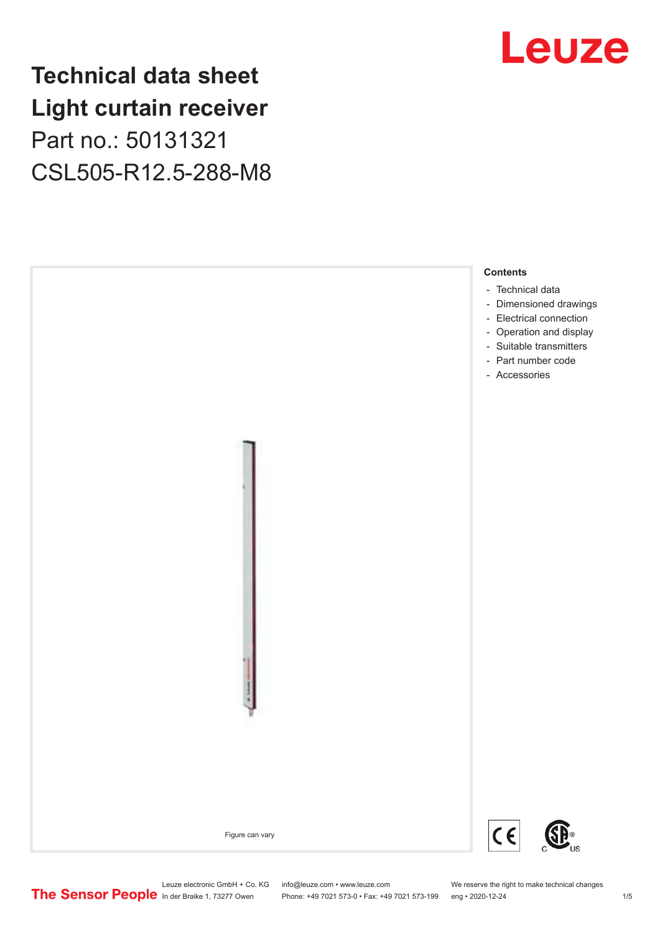### **Technical data sheet Light curtain receiver** Part no.: 50131321 CSL505-R12.5-288-M8





Leuze electronic GmbH + Co. KG info@leuze.com • www.leuze.com We reserve the right to make technical changes<br>
The Sensor People in der Braike 1, 73277 Owen Phone: +49 7021 573-0 • Fax: +49 7021 573-199 eng • 2020-12-24

Phone: +49 7021 573-0 • Fax: +49 7021 573-199 eng • 2020-12-24 1 metal is a man at the man and the man and the man at the man at the man at the man at the man at the man at the man at the man at the man at the man at the m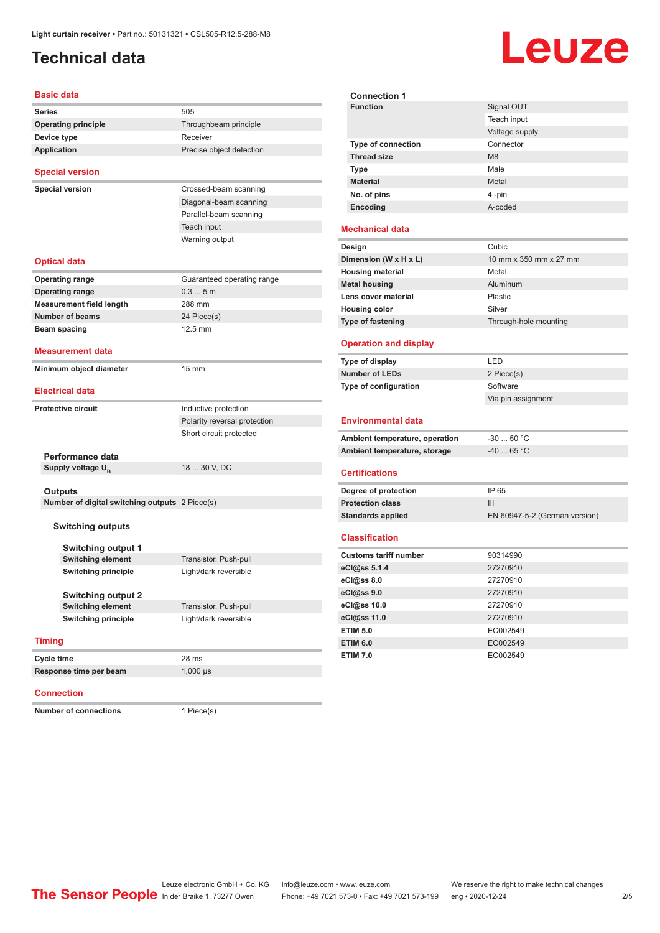### <span id="page-1-0"></span>**Technical data**

# Leuze

**Signal OUT** Teach input

| Basic data                                     |                              |  |  |  |
|------------------------------------------------|------------------------------|--|--|--|
| <b>Series</b>                                  | 505                          |  |  |  |
| <b>Operating principle</b>                     | Throughbeam principle        |  |  |  |
| Device type                                    | Receiver                     |  |  |  |
| <b>Application</b>                             | Precise object detection     |  |  |  |
| <b>Special version</b>                         |                              |  |  |  |
| <b>Special version</b>                         | Crossed-beam scanning        |  |  |  |
|                                                | Diagonal-beam scanning       |  |  |  |
|                                                | Parallel-beam scanning       |  |  |  |
|                                                | Teach input                  |  |  |  |
|                                                | Warning output               |  |  |  |
| Optical data                                   |                              |  |  |  |
| Operating range                                | Guaranteed operating range   |  |  |  |
| <b>Operating range</b>                         | 0.35m                        |  |  |  |
| <b>Measurement field length</b>                | 288 mm                       |  |  |  |
| <b>Number of beams</b>                         | 24 Piece(s)                  |  |  |  |
| Beam spacing                                   | 12.5 mm                      |  |  |  |
| <b>Measurement data</b>                        |                              |  |  |  |
| Minimum object diameter                        | 15 mm                        |  |  |  |
|                                                |                              |  |  |  |
| <b>Electrical data</b>                         |                              |  |  |  |
| <b>Protective circuit</b>                      | Inductive protection         |  |  |  |
|                                                | Polarity reversal protection |  |  |  |
|                                                | Short circuit protected      |  |  |  |
|                                                |                              |  |  |  |
| Performance data                               |                              |  |  |  |
| Supply voltage U <sub>R</sub>                  | 18  30 V, DC                 |  |  |  |
| <b>Outputs</b>                                 |                              |  |  |  |
| Number of digital switching outputs 2 Piece(s) |                              |  |  |  |
| <b>Switching outputs</b>                       |                              |  |  |  |
| <b>Switching output 1</b>                      |                              |  |  |  |
| <b>Switching element</b>                       | Transistor, Push-pull        |  |  |  |
| <b>Switching principle</b>                     | Light/dark reversible        |  |  |  |
|                                                |                              |  |  |  |
| <b>Switching output 2</b>                      |                              |  |  |  |
| <b>Switching element</b>                       | Transistor, Push-pull        |  |  |  |
| <b>Switching principle</b>                     | Light/dark reversible        |  |  |  |
| <b>Timing</b>                                  |                              |  |  |  |
| Cycle time                                     | 28 ms                        |  |  |  |
| Response time per beam                         | $1,000 \,\mu s$              |  |  |  |
|                                                |                              |  |  |  |

#### **Connection**

**Number of connections** 1 Piece(s)

|                                | Voltage supply                |
|--------------------------------|-------------------------------|
| Type of connection             | Connector                     |
| <b>Thread size</b>             | M <sub>8</sub>                |
| <b>Type</b>                    | Male                          |
| <b>Material</b>                | Metal                         |
| No. of pins                    | 4-pin                         |
| Encoding                       | A-coded                       |
| <b>Mechanical data</b>         |                               |
| Design                         | Cubic                         |
| Dimension (W x H x L)          | 10 mm x 350 mm x 27 mm        |
| <b>Housing material</b>        | Metal                         |
| <b>Metal housing</b>           | Aluminum                      |
| Lens cover material            | Plastic                       |
| <b>Housing color</b>           | Silver                        |
| <b>Type of fastening</b>       | Through-hole mounting         |
| <b>Operation and display</b>   |                               |
| Type of display                | LED                           |
| <b>Number of LEDs</b>          | 2 Piece(s)                    |
| Type of configuration          | Software                      |
|                                | Via pin assignment            |
| <b>Environmental data</b>      |                               |
| Ambient temperature, operation | $-30$ 50 °C                   |
| Ambient temperature, storage   | $-40$ 65 °C                   |
| <b>Certifications</b>          |                               |
| Degree of protection           | IP 65                         |
| <b>Protection class</b>        | Ш                             |
| <b>Standards applied</b>       | EN 60947-5-2 (German version) |
| <b>Classification</b>          |                               |
| <b>Customs tariff number</b>   | 90314990                      |
| eCl@ss 5.1.4                   | 27270910                      |
| eCl@ss 8.0                     | 27270910                      |
| eCl@ss 9.0                     | 27270910                      |
| eCl@ss 10.0                    | 27270910                      |
| eCl@ss 11.0                    | 27270910                      |
| <b>ETIM 5.0</b>                | EC002549                      |
| <b>ETIM 6.0</b>                | EC002549                      |
| <b>ETIM 7.0</b>                | EC002549                      |
|                                |                               |

**Connection 1**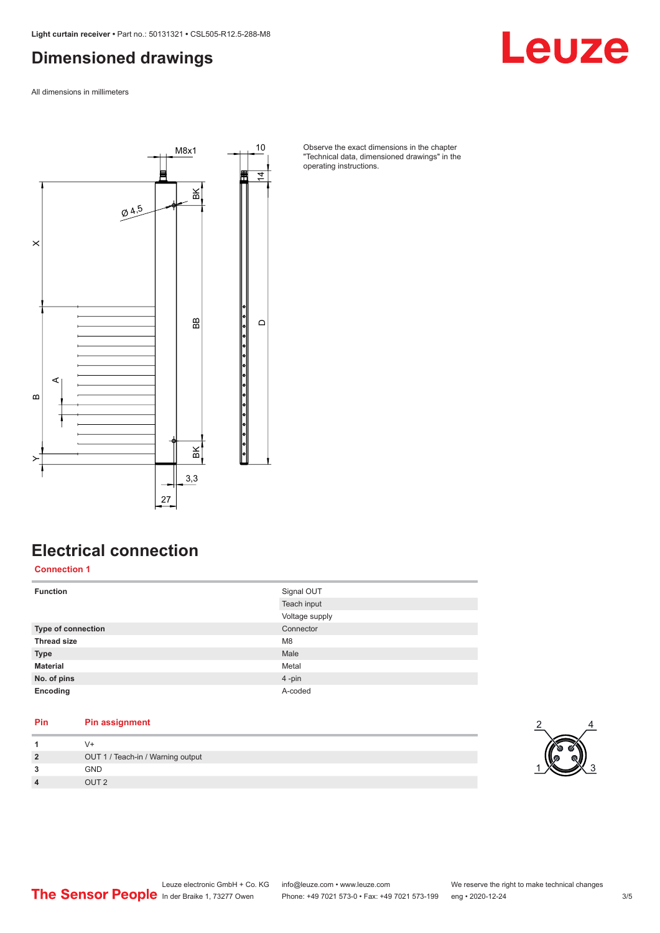### <span id="page-2-0"></span>**Dimensioned drawings**

All dimensions in millimeters



Observe the exact dimensions in the chapter "Technical data, dimensioned drawings" in the operating instructions.

### **Electrical connection**

**Connection 1**

| <b>Function</b>           | Signal OUT     |
|---------------------------|----------------|
|                           | Teach input    |
|                           | Voltage supply |
| <b>Type of connection</b> | Connector      |
| <b>Thread size</b>        | M <sub>8</sub> |
| <b>Type</b>               | Male           |
| <b>Material</b>           | Metal          |
| No. of pins               | 4-pin          |
| Encoding                  | A-coded        |

### **Pin Pin assignment**

|                | $V +$                             |  |
|----------------|-----------------------------------|--|
| $\overline{2}$ | OUT 1 / Teach-in / Warning output |  |
| 3              | GND                               |  |
| 4              | OUT 2                             |  |



Leuze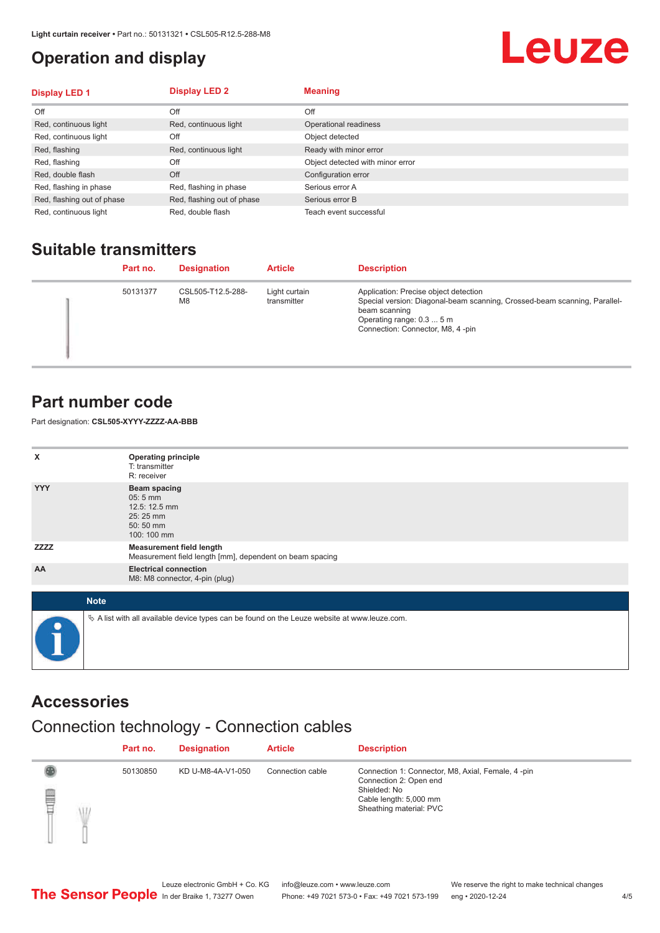### <span id="page-3-0"></span>**Operation and display**

## Leuze

| <b>Display LED 1</b>       | <b>Display LED 2</b>       | <b>Meaning</b>                   |
|----------------------------|----------------------------|----------------------------------|
| Off                        | Off                        | Off                              |
| Red, continuous light      | Red, continuous light      | Operational readiness            |
| Red, continuous light      | Off                        | Object detected                  |
| Red, flashing              | Red, continuous light      | Ready with minor error           |
| Red, flashing              | Off                        | Object detected with minor error |
| Red, double flash          | Off                        | Configuration error              |
| Red, flashing in phase     | Red, flashing in phase     | Serious error A                  |
| Red, flashing out of phase | Red, flashing out of phase | Serious error B                  |
| Red, continuous light      | Red, double flash          | Teach event successful           |

### **Suitable transmitters**

| Part no. | <b>Designation</b>                  | <b>Article</b>               | <b>Description</b>                                                                                                                                                                                   |
|----------|-------------------------------------|------------------------------|------------------------------------------------------------------------------------------------------------------------------------------------------------------------------------------------------|
| 50131377 | CSL505-T12.5-288-<br>M <sub>8</sub> | Light curtain<br>transmitter | Application: Precise object detection<br>Special version: Diagonal-beam scanning, Crossed-beam scanning, Parallel-<br>beam scanning<br>Operating range: 0.3  5 m<br>Connection: Connector, M8, 4-pin |

#### **Part number code**

Part designation: **CSL505-XYYY-ZZZZ-AA-BBB**

| x           | <b>Operating principle</b><br>T: transmitter<br>R: receiver                                       |
|-------------|---------------------------------------------------------------------------------------------------|
| <b>YYY</b>  | <b>Beam spacing</b><br>$05:5$ mm<br>12.5: 12.5 mm<br>25:25 mm<br>50:50 mm<br>100: 100 mm          |
| <b>ZZZZ</b> | <b>Measurement field length</b><br>Measurement field length [mm], dependent on beam spacing       |
| AA          | <b>Electrical connection</b><br>M8: M8 connector, 4-pin (plug)                                    |
| <b>Note</b> |                                                                                                   |
| $\bullet$   | Vector A list with all available device types can be found on the Leuze website at www.leuze.com. |

#### **Accessories**

### Connection technology - Connection cables

|        | Part no. | <b>Designation</b> | <b>Article</b>   | <b>Description</b>                                                                                                                               |
|--------|----------|--------------------|------------------|--------------------------------------------------------------------------------------------------------------------------------------------------|
| §<br>Ŵ | 50130850 | KD U-M8-4A-V1-050  | Connection cable | Connection 1: Connector, M8, Axial, Female, 4-pin<br>Connection 2: Open end<br>Shielded: No<br>Cable length: 5,000 mm<br>Sheathing material: PVC |